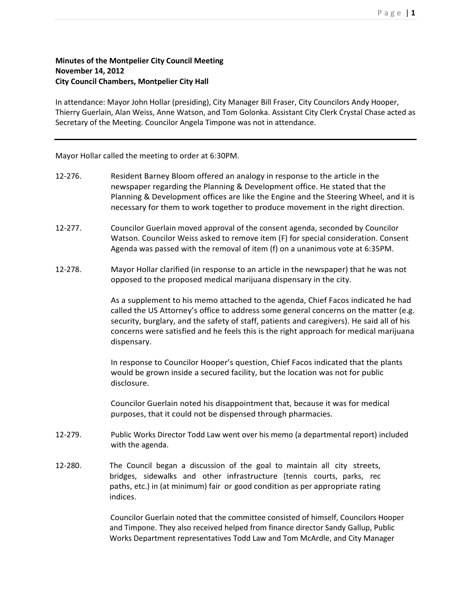## **Minutes of the Montpelier City Council Meeting November 14, 2012 City Council Chambers, Montpelier City Hall**

In attendance: Mayor John Hollar (presiding), City Manager Bill Fraser, City Councilors Andy Hooper, Thierry Guerlain, Alan Weiss, Anne Watson, and Tom Golonka. Assistant City Clerk Crystal Chase acted as Secretary of the Meeting. Councilor Angela Timpone was not in attendance.

Mayor Hollar called the meeting to order at 6:30PM.

- 12-276. Resident Barney Bloom offered an analogy in response to the article in the newspaper regarding the Planning & Development office. He stated that the Planning & Development offices are like the Engine and the Steering Wheel, and it is necessary for them to work together to produce movement in the right direction.
- 12-277. Councilor Guerlain moved approval of the consent agenda, seconded by Councilor Watson. Councilor Weiss asked to remove item (F) for special consideration. Consent Agenda was passed with the removal of item (f) on a unanimous vote at 6:35PM.
- 12-278. Mayor Hollar clarified (in response to an article in the newspaper) that he was not opposed to the proposed medical marijuana dispensary in the city.

As a supplement to his memo attached to the agenda, Chief Facos indicated he had called the US Attorney's office to address some general concerns on the matter (e.g. security, burglary, and the safety of staff, patients and caregivers). He said all of his concerns were satisfied and he feels this is the right approach for medical marijuana dispensary.

In response to Councilor Hooper's question, Chief Facos indicated that the plants would be grown inside a secured facility, but the location was not for public disclosure.

Councilor Guerlain noted his disappointment that, because it was for medical purposes, that it could not be dispensed through pharmacies.

- 12-279. Public Works Director Todd Law went over his memo (a departmental report) included with the agenda.
- 12-280. The Council began a discussion of the goal to maintain all city streets, bridges, sidewalks and other infrastructure (tennis courts, parks, rec paths, etc.) in (at minimum) fair or good condition as per appropriate rating indices.

Councilor Guerlain noted that the committee consisted of himself, Councilors Hooper and Timpone. They also received helped from finance director Sandy Gallup, Public Works Department representatives Todd Law and Tom McArdle, and City Manager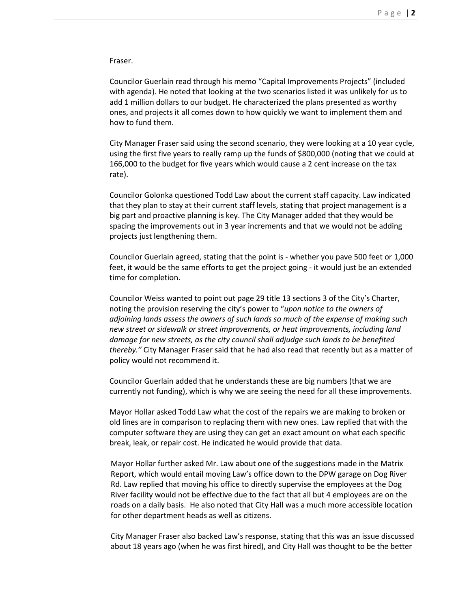Fraser.

Councilor Guerlain read through his memo "Capital Improvements Projects" (included with agenda). He noted that looking at the two scenarios listed it was unlikely for us to add 1 million dollars to our budget. He characterized the plans presented as worthy ones, and projects it all comes down to how quickly we want to implement them and how to fund them.

City Manager Fraser said using the second scenario, they were looking at a 10 year cycle, using the first five years to really ramp up the funds of \$800,000 (noting that we could at 166,000 to the budget for five years which would cause a 2 cent increase on the tax rate).

Councilor Golonka questioned Todd Law about the current staff capacity. Law indicated that they plan to stay at their current staff levels, stating that project management is a big part and proactive planning is key. The City Manager added that they would be spacing the improvements out in 3 year increments and that we would not be adding projects just lengthening them.

Councilor Guerlain agreed, stating that the point is - whether you pave 500 feet or 1,000 feet, it would be the same efforts to get the project going - it would just be an extended time for completion.

Councilor Weiss wanted to point out page 29 title 13 sections 3 of the City's Charter, noting the provision reserving the city's power to "*upon notice to the owners of adjoining lands assess the owners of such lands so much of the expense of making such new street or sidewalk or street improvements, or heat improvements, including land damage for new streets, as the city council shall adjudge such lands to be benefited thereby."* City Manager Fraser said that he had also read that recently but as a matter of policy would not recommend it.

Councilor Guerlain added that he understands these are big numbers (that we are currently not funding), which is why we are seeing the need for all these improvements.

Mayor Hollar asked Todd Law what the cost of the repairs we are making to broken or old lines are in comparison to replacing them with new ones. Law replied that with the computer software they are using they can get an exact amount on what each specific break, leak, or repair cost. He indicated he would provide that data.

Mayor Hollar further asked Mr. Law about one of the suggestions made in the Matrix Report, which would entail moving Law's office down to the DPW garage on Dog River Rd. Law replied that moving his office to directly supervise the employees at the Dog River facility would not be effective due to the fact that all but 4 employees are on the roads on a daily basis. He also noted that City Hall was a much more accessible location for other department heads as well as citizens.

City Manager Fraser also backed Law's response, stating that this was an issue discussed about 18 years ago (when he was first hired), and City Hall was thought to be the better